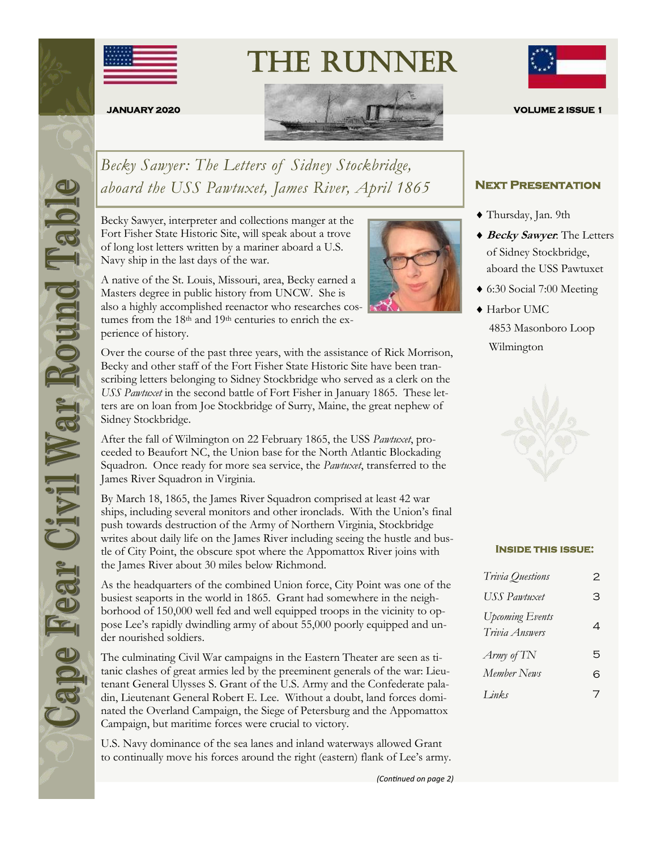

The Runner



*Becky Sawyer: The Letters of Sidney Stockbridge, aboard the USS Pawtuxet, James River, April 1865*

Becky Sawyer, interpreter and collections manger at the Fort Fisher State Historic Site, will speak about a trove of long lost letters written by a mariner aboard a U.S. Navy ship in the last days of the war.

A native of the St. Louis, Missouri, area, Becky earned a Masters degree in public history from UNCW. She is also a highly accomplished reenactor who researches costumes from the 18<sup>th</sup> and 19<sup>th</sup> centuries to enrich the experience of history.

Over the course of the past three years, with the assistance of Rick Morrison, Becky and other staff of the Fort Fisher State Historic Site have been transcribing letters belonging to Sidney Stockbridge who served as a clerk on the *USS Pawtuxet* in the second battle of Fort Fisher in January 1865. These letters are on loan from Joe Stockbridge of Surry, Maine, the great nephew of Sidney Stockbridge.

After the fall of Wilmington on 22 February 1865, the USS *Pawtuxet*, proceeded to Beaufort NC, the Union base for the North Atlantic Blockading Squadron. Once ready for more sea service, the *Pawtuxet*, transferred to the James River Squadron in Virginia.

By March 18, 1865, the James River Squadron comprised at least 42 war ships, including several monitors and other ironclads. With the Union's final push towards destruction of the Army of Northern Virginia, Stockbridge writes about daily life on the James River including seeing the hustle and bustle of City Point, the obscure spot where the Appomattox River joins with the James River about 30 miles below Richmond.

As the headquarters of the combined Union force, City Point was one of the busiest seaports in the world in 1865. Grant had somewhere in the neighborhood of 150,000 well fed and well equipped troops in the vicinity to oppose Lee's rapidly dwindling army of about 55,000 poorly equipped and under nourished soldiers.

The culminating Civil War campaigns in the Eastern Theater are seen as titanic clashes of great armies led by the preeminent generals of the war: Lieutenant General Ulysses S. Grant of the U.S. Army and the Confederate paladin, Lieutenant General Robert E. Lee. Without a doubt, land forces dominated the Overland Campaign, the Siege of Petersburg and the Appomattox Campaign, but maritime forces were crucial to victory.

U.S. Navy dominance of the sea lanes and inland waterways allowed Grant to continually move his forces around the right (eastern) flank of Lee's army.



#### **Next Presentation**

- Thursday, Jan. 9th
- **Becky Sawyer**: The Letters of Sidney Stockbridge, aboard the USS Pawtuxet
- 6:30 Social 7:00 Meeting
- Harbor UMC 4853 Masonboro Loop Wilmington



#### **Inside this issue:**

| Trivia Questions                         | 2 |
|------------------------------------------|---|
| <b>USS</b> Pawtuxet                      | З |
| <b>Upcoming Events</b><br>Trivia Answers | 4 |
| Army of TN                               | 5 |
| Member News                              | 6 |
| Links                                    | 7 |



*(Continued on page 2)*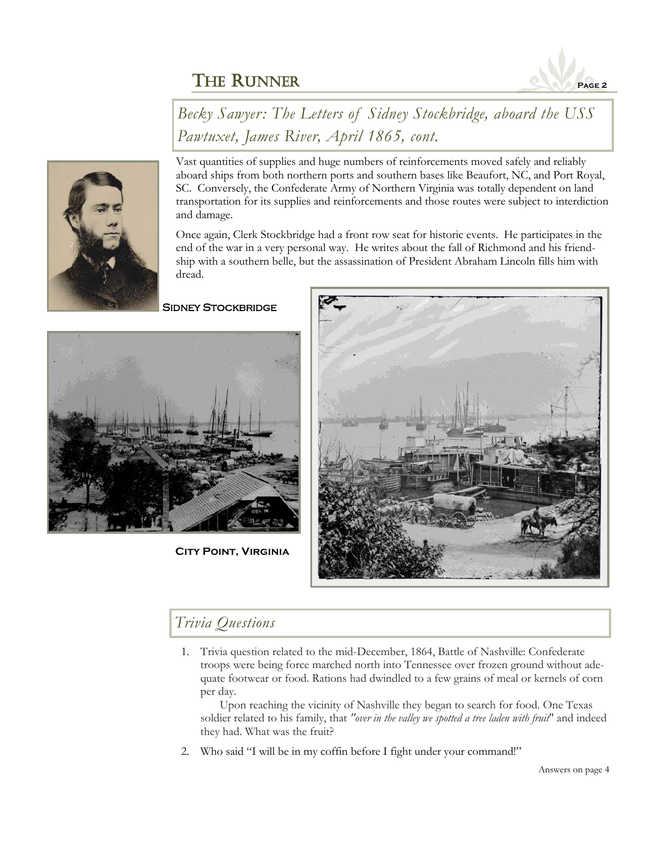

*Becky Sawyer: The Letters of Sidney Stockbridge, aboard the USS Pawtuxet, James River, April 1865, cont.*



Vast quantities of supplies and huge numbers of reinforcements moved safely and reliably aboard ships from both northern ports and southern bases like Beaufort, NC, and Port Royal, SC. Conversely, the Confederate Army of Northern Virginia was totally dependent on land transportation for its supplies and reinforcements and those routes were subject to interdiction and damage.

Once again, Clerk Stockbridge had a front row seat for historic events. He participates in the end of the war in a very personal way. He writes about the fall of Richmond and his friendship with a southern belle, but the assassination of President Abraham Lincoln fills him with dread.

**SIDNEY STOCKBRIDGE** 



**City Point, Virginia**



# *Trivia Questions*

1. Trivia question related to the mid-December, 1864, Battle of Nashville: Confederate troops were being force marched north into Tennessee over frozen ground without adequate footwear or food. Rations had dwindled to a few grains of meal or kernels of corn per day.

Upon reaching the vicinity of Nashville they began to search for food. One Texas soldier related to his family, that *"over in the valley we spotted a tree laden with fruit*" and indeed they had. What was the fruit?

2. Who said "I will be in my coffin before I fight under your command!"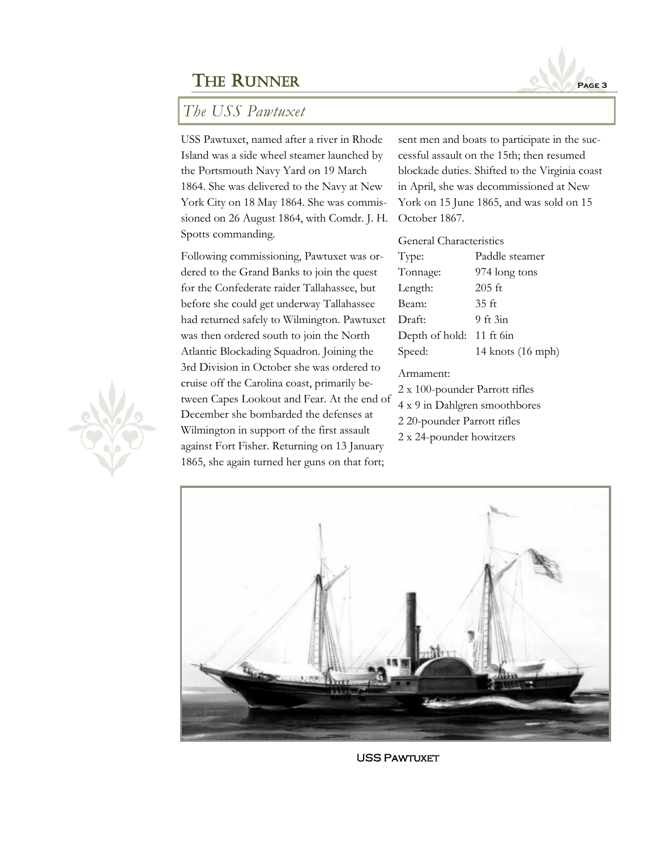# *The USS Pawtuxet*

USS Pawtuxet, named after a river in Rhode Island was a side wheel steamer launched by the Portsmouth Navy Yard on 19 March 1864. She was delivered to the Navy at New York City on 18 May 1864. She was commissioned on 26 August 1864, with Comdr. J. H. Spotts commanding.

Following commissioning, Pawtuxet was ordered to the Grand Banks to join the quest for the Confederate raider Tallahassee, but before she could get underway Tallahassee had returned safely to Wilmington. Pawtuxet was then ordered south to join the North Atlantic Blockading Squadron. Joining the 3rd Division in October she was ordered to cruise off the Carolina coast, primarily between Capes Lookout and Fear. At the end of December she bombarded the defenses at Wilmington in support of the first assault against Fort Fisher. Returning on 13 January 1865, she again turned her guns on that fort;

sent men and boats to participate in the successful assault on the 15th; then resumed blockade duties. Shifted to the Virginia coast in April, she was decommissioned at New York on 15 June 1865, and was sold on 15 October 1867.

General Characteristics

| Paddle steamer    |
|-------------------|
| 974 long tons     |
| $205$ ft          |
| 35 <sub>ft</sub>  |
| $9$ ft $3in$      |
| 11 ft 6in         |
| 14 knots (16 mph) |
|                   |

#### Armament:

- 2 x 100-pounder Parrott rifles
- 4 x 9 in Dahlgren smoothbores
- 2 20-pounder Parrott rifles
- 2 x 24-pounder howitzers



**USS PAWTUXET** 



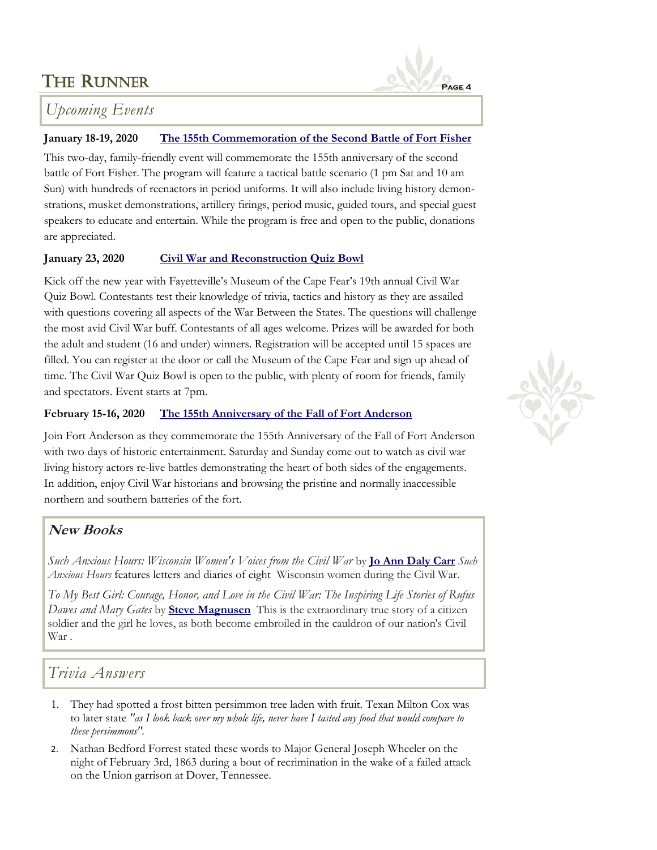

# *Upcoming Events*

### **January 18-19, 2020 [The 155th Commemoration of the Second Battle of Fort Fisher](https://historicsites.nc.gov/events/glory-enough-all-155th-commemoration-second-battle-fort-fisher)**

This two-day, family-friendly event will commemorate the 155th anniversary of the second battle of Fort Fisher. The program will feature a tactical battle scenario (1 pm Sat and 10 am Sun) with hundreds of reenactors in period uniforms. It will also include living history demonstrations, musket demonstrations, artillery firings, period music, guided tours, and special guest speakers to educate and entertain. While the program is free and open to the public, donations are appreciated.

#### **January 23, 2020 [Civil War and Reconstruction Quiz Bowl](https://museumofthecapefear.ncdcr.gov/)**

Kick off the new year with Fayetteville's Museum of the Cape Fear's 19th annual Civil War Quiz Bowl. Contestants test their knowledge of trivia, tactics and history as they are assailed with questions covering all aspects of the War Between the States. The questions will challenge the most avid Civil War buff. Contestants of all ages welcome. Prizes will be awarded for both the adult and student (16 and under) winners. Registration will be accepted until 15 spaces are filled. You can register at the door or call the Museum of the Cape Fear and sign up ahead of time. The Civil War Quiz Bowl is open to the public, with plenty of room for friends, family and spectators. Event starts at 7pm.

### **February 15-16, 2020 [The 155th Anniversary of the Fall of Fort Anderson](https://historicsites.nc.gov/all-sites/brunswick-town-fort-anderson)**

Join Fort Anderson as they commemorate the 155th Anniversary of the Fall of Fort Anderson with two days of historic entertainment. Saturday and Sunday come out to watch as civil war living history actors re-live battles demonstrating the heart of both sides of the engagements. In addition, enjoy Civil War historians and browsing the pristine and normally inaccessible northern and southern batteries of the fort.

## **New Books**

*Such Anxious Hours: Wisconsin Women's Voices from the Civil War* by **[Jo Ann Daly Carr](http://www.joanndalycarr.com)** *Such Anxious Hours* features letters and diaries of eight Wisconsin women during the Civil War.

*To My Best Girl: Courage, Honor, and Love in the Civil War: The Inspiring Life Stories of Rufus Dawes and Mary Gates* by **[Steve Magnusen](http://www.stevemagnusen.com)** This is the extraordinary true story of a citizen soldier and the girl he loves, as both become embroiled in the cauldron of our nation's Civil War .

# *Trivia Answers*

- 1. They had spotted a frost bitten persimmon tree laden with fruit. Texan Milton Cox was to later state *"as I look back over my whole life, never have I tasted any food that would compare to these persimmons".*
- 2. Nathan Bedford Forrest stated these words to Major General Joseph Wheeler on the night of February 3rd, 1863 during a bout of recrimination in the wake of a failed attack on the Union garrison at Dover, Tennessee.

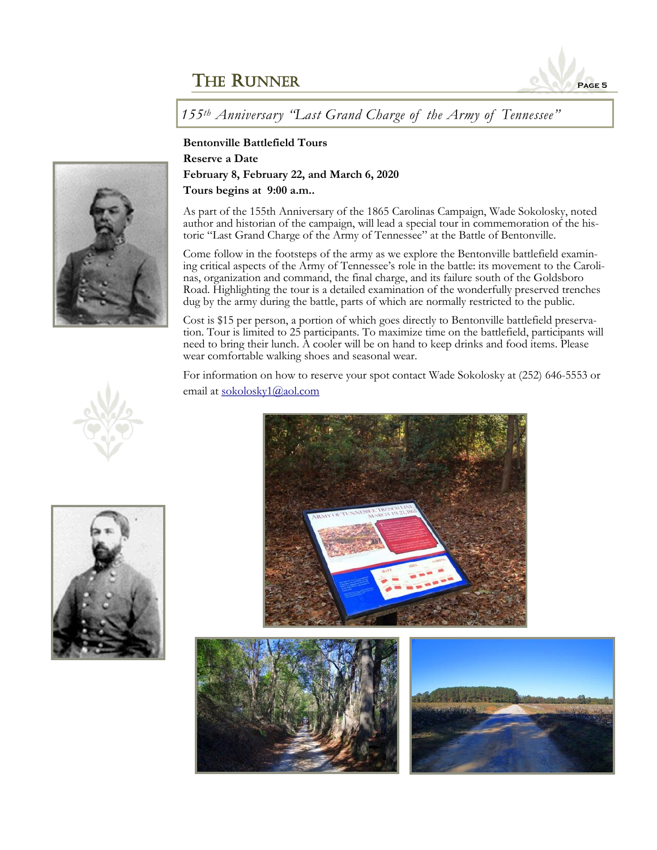

*155th Anniversary "Last Grand Charge of the Army of Tennessee"*

**Bentonville Battlefield Tours Reserve a Date February 8, February 22, and March 6, 2020 Tours begins at 9:00 a.m..** 

As part of the 155th Anniversary of the 1865 Carolinas Campaign, Wade Sokolosky, noted author and historian of the campaign, will lead a special tour in commemoration of the historic "Last Grand Charge of the Army of Tennessee" at the Battle of Bentonville.

Come follow in the footsteps of the army as we explore the Bentonville battlefield examining critical aspects of the Army of Tennessee's role in the battle: its movement to the Carolinas, organization and command, the final charge, and its failure south of the Goldsboro Road. Highlighting the tour is a detailed examination of the wonderfully preserved trenches dug by the army during the battle, parts of which are normally restricted to the public.

Cost is \$15 per person, a portion of which goes directly to Bentonville battlefield preservation. Tour is limited to 25 participants. To maximize time on the battlefield, participants will need to bring their lunch. A cooler will be on hand to keep drinks and food items. Please wear comfortable walking shoes and seasonal wear.

For information on how to reserve your spot contact Wade Sokolosky at (252) 646-5553 or email at [sokolosky1@aol.com](mailto:sokolosky1@aol.com)









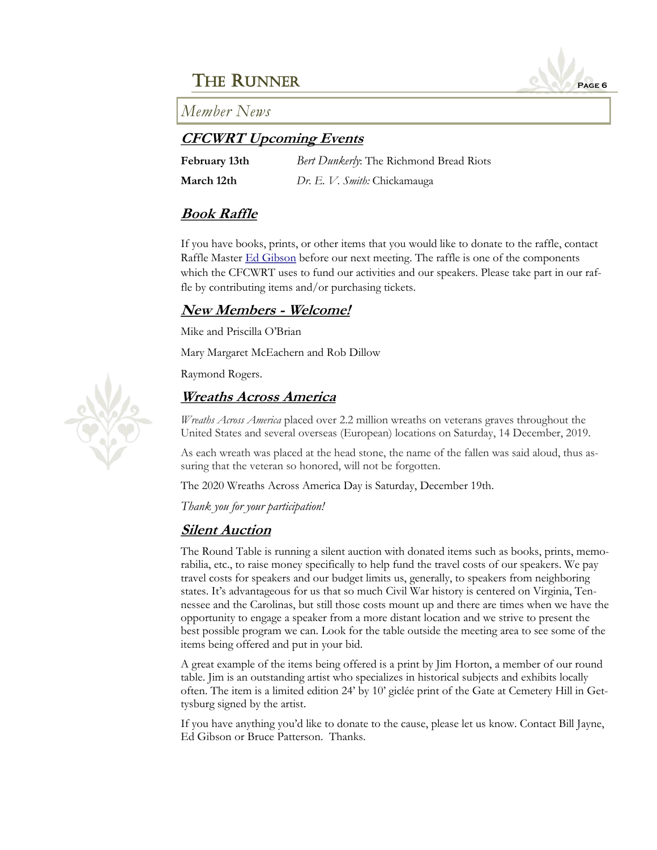*Member News*

## **CFCWRT Upcoming Events**

| February 13th | Bert Dunkerly: The Richmond Bread Riots |
|---------------|-----------------------------------------|
| March 12th    | Dr. E. V. Smith: Chickamauga            |

## **Book Raffle**

If you have books, prints, or other items that you would like to donate to the raffle, contact Raffle Master **[Ed Gibson](mailto:egibson759@aol.com)** before our next meeting. The raffle is one of the components which the CFCWRT uses to fund our activities and our speakers. Please take part in our raffle by contributing items and/or purchasing tickets.

## **New Members - Welcome!**

Mike and Priscilla O'Brian

Mary Margaret McEachern and Rob Dillow

Raymond Rogers.

## **Wreaths Across America**

*Wreaths Across America* placed over 2.2 million wreaths on veterans graves throughout the United States and several overseas (European) locations on Saturday, 14 December, 2019.

As each wreath was placed at the head stone, the name of the fallen was said aloud, thus assuring that the veteran so honored, will not be forgotten.

The 2020 Wreaths Across America Day is Saturday, December 19th.

*Thank you for your participation!*

## **Silent Auction**

The Round Table is running a silent auction with donated items such as books, prints, memorabilia, etc., to raise money specifically to help fund the travel costs of our speakers. We pay travel costs for speakers and our budget limits us, generally, to speakers from neighboring states. It's advantageous for us that so much Civil War history is centered on Virginia, Tennessee and the Carolinas, but still those costs mount up and there are times when we have the opportunity to engage a speaker from a more distant location and we strive to present the best possible program we can. Look for the table outside the meeting area to see some of the items being offered and put in your bid.

A great example of the items being offered is a print by Jim Horton, a member of our round table. Jim is an outstanding artist who specializes in historical subjects and exhibits locally often. The item is a limited edition 24' by 10' giclée print of the Gate at Cemetery Hill in Gettysburg signed by the artist.

If you have anything you'd like to donate to the cause, please let us know. Contact Bill Jayne, Ed Gibson or Bruce Patterson. Thanks.